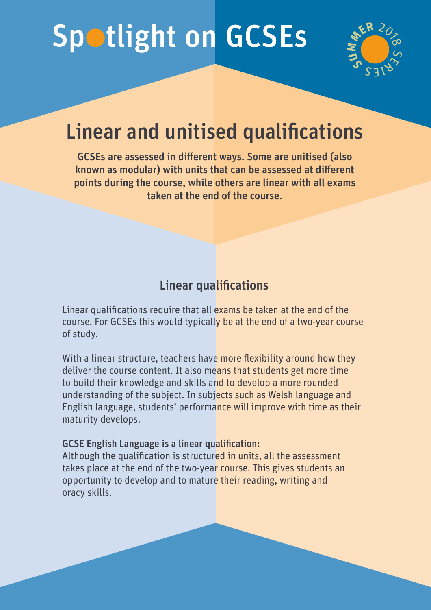# Spotlight on GCSEs



# Linear and unitised qualifications

GCSEs are assessed in different ways. Some are unitised (also known as modular) with units that can be assessed at different points during the course, while others are linear with all exams taken at the end of the course.

### Linear qualifications

Linear qualifications require that all exams be taken at the end of the course. For GCSEs this would typically be at the end of a two-year course of study.

With a linear structure, teachers have more flexibility around how they deliver the course content. It also means that students get more time to build their knowledge and skills and to develop a more rounded understanding of the subject. In subjects such as Welsh language and English language, students' performance will improve with time as their maturity develops.

#### GCSE English Language is a linear qualification:

Although the qualification is structured in units, all the assessment takes place at the end of the two-year course. This gives students an opportunity to develop and to mature their reading, writing and oracy skills.